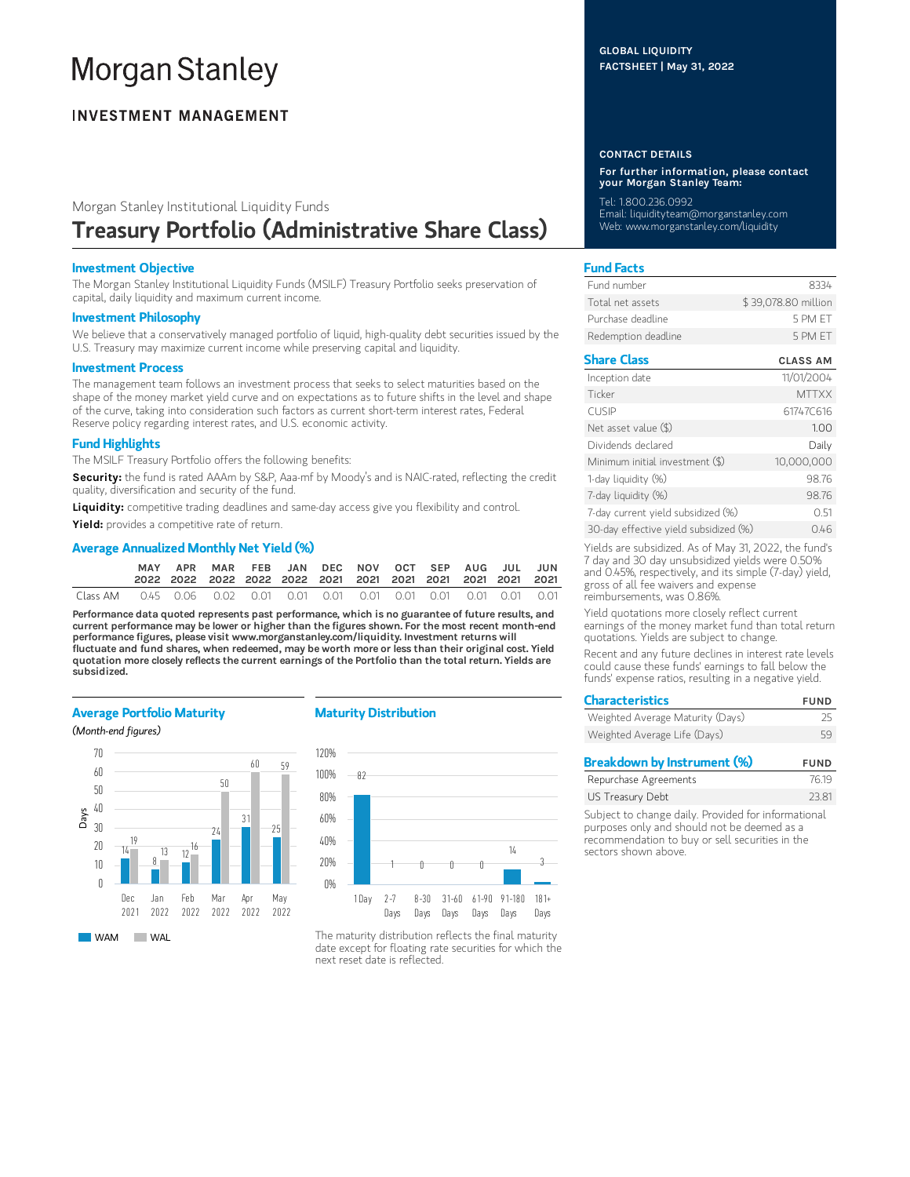# **Morgan Stanley**

# **INVESTMENT MANAGEMENT**

# Morgan Stanley Institutional Liquidity Funds Treasury Portfolio (Administrative Share Class)

#### Investment Objective

The Morgan Stanley Institutional Liquidity Funds (MSILF) Treasury Portfolio seeks preservation of capital, daily liquidity and maximum current income.

#### Investment Philosophy

We believe that a conservatively managed portfolio of liquid, high-quality debt securities issued by the U.S. Treasury may maximize current income while preserving capital and liquidity.

#### Investment Process

The management team follows an investment process that seeks to select maturities based on the shape of the money market yield curve and on expectations as to future shifts in the level and shape of the curve, taking into consideration such factors as current short-term interest rates, Federal Reserve policy regarding interest rates, and U.S. economic activity.

## Fund Highlights

The MSILF Treasury Portfolio offers the following benefits:

Security: the fund is rated AAAm by S&P, Aaa-mf by Moody's and is NAIC-rated, reflecting the credit quality, diversification and security of the fund.

Liquidity: competitive trading deadlines and same-day access give you flexibility and control.

Yield: provides a competitive rate of return.

## Average Annualized Monthly Net Yield (%)

|  | APR MAR FEB JAN DEC NOV OCT SEP AUG JUL JUN |  |  |  |  |  |
|--|---------------------------------------------|--|--|--|--|--|
|  |                                             |  |  |  |  |  |

Performance data quoted represents past performance, which is no guarantee of future results, and current performance may be lower or higher than the figures shown. For the most recent month-end performance figures, please visit www.morganstanley.com/liquidity. Investment returns will fluctuate and fund shares, when redeemed, may be worth more or less than their original cost. Yield quotation more closely reflects the current earnings of the Portfolio than the total return. Yields are subsidized.

#### Average Portfolio Maturity

(Month-end figures)



#### Maturity Distribution



The maturity distribution reflects the final maturity date except for floating rate securities for which the next reset date is reflected.

#### GLOBAL LIQUIDITY FACTSHEET | May 31, 2022

#### CONTACT DETAILS

For further information, please contact your Morgan Stanley Team:

Tel: 1.800.236.0992

Email: liquidityteam@morganstanley.com Web: www.morganstanley.com/liquidity

## Fund Facts

| Fund number         | 8334                |
|---------------------|---------------------|
| Total net assets    | \$39,078.80 million |
| Purchase deadline   | 5 PM FT             |
| Redemption deadline | 5 PM FT             |

# Share Class CLASS AM

| Inception date                        | 11/01/2004   |
|---------------------------------------|--------------|
| Ticker                                | <b>MTTXX</b> |
| <b>CUSIP</b>                          | 61747C616    |
| Net asset value (\$)                  | 1.00         |
| Dividends declared                    | Daily        |
| Minimum initial investment (\$)       | 10,000,000   |
| 1-day liquidity (%)                   | 98.76        |
| 7-day liquidity (%)                   | 98.76        |
| 7-day current yield subsidized (%)    | 051          |
| 30-day effective yield subsidized (%) | 0.46         |

Yields are subsidized. As of May 31, 2022, the fund's 7 day and 30 day unsubsidized yields were 0.50% and 0.45%, respectively, and its simple (7-day) yield, gross of all fee waivers and expense reimbursements, was 0.86%.

Yield quotations more closely reflect current earnings of the money market fund than total return quotations. Yields are subject to change.

Recent and any future declines in interest rate levels could cause these funds' earnings to fall below the funds' expense ratios, resulting in a negative yield.

| <b>Characteristics</b>           | <b>FUND</b> |
|----------------------------------|-------------|
| Weighted Average Maturity (Days) | 25          |
| Weighted Average Life (Days)     | 59          |
|                                  |             |

| Breakdown by Instrument (%) | <b>FUND</b> |
|-----------------------------|-------------|
| Repurchase Agreements       | 76.19       |
| US Treasury Debt            | 23.81       |
|                             |             |

Subject to change daily. Provided for informational purposes only and should not be deemed as a recommendation to buy or sell securities in the sectors shown above.